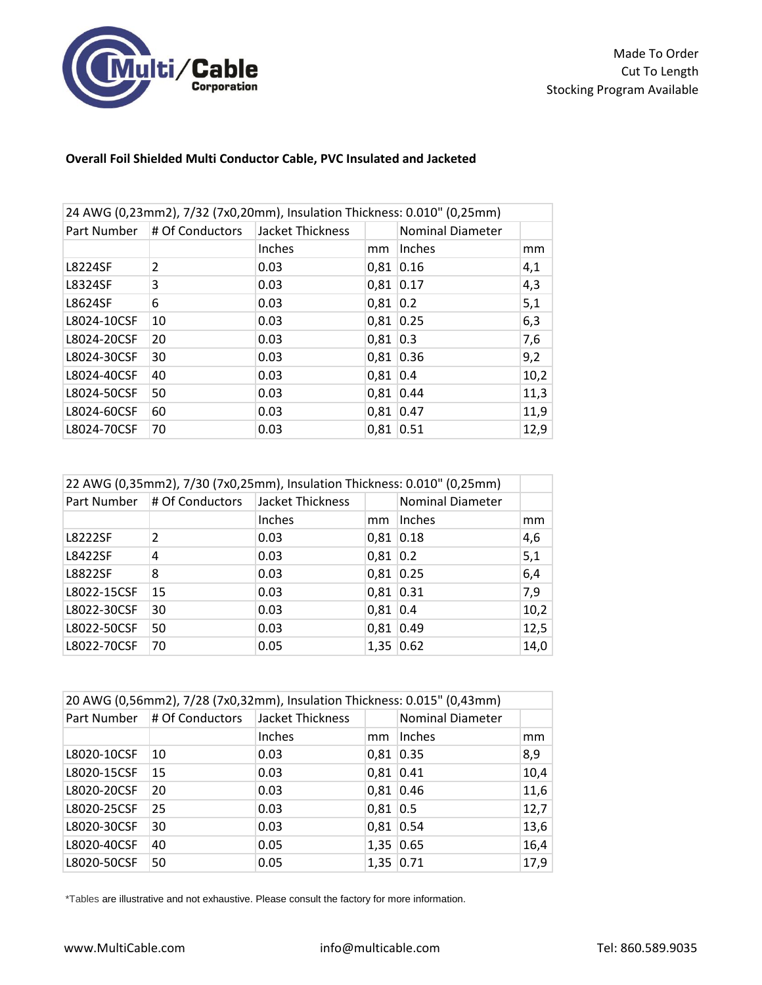

## **Overall Foil Shielded Multi Conductor Cable, PVC Insulated and Jacketed**

| 24 AWG (0,23mm2), 7/32 (7x0,20mm), Insulation Thickness: 0.010" (0,25mm) |                              |                  |             |                         |      |  |
|--------------------------------------------------------------------------|------------------------------|------------------|-------------|-------------------------|------|--|
|                                                                          | Part Number  # Of Conductors | Jacket Thickness |             | <b>Nominal Diameter</b> |      |  |
|                                                                          |                              | Inches           | mm          | Inches                  | mm   |  |
| <b>L8224SF</b>                                                           | 2                            | 0.03             |             | $0,81$ 0.16             | 4,1  |  |
| L8324SF                                                                  | 3                            | 0.03             | $0,81$ 0.17 |                         | 4,3  |  |
| L8624SF                                                                  | 6                            | 0.03             | $0,81$ 0.2  |                         | 5,1  |  |
| L8024-10CSF                                                              | 10                           | 0.03             |             | $0,81$ 0.25             | 6,3  |  |
| L8024-20CSF                                                              | 20                           | 0.03             | $0,81$ 0.3  |                         | 7,6  |  |
| L8024-30CSF                                                              | 30                           | 0.03             |             | $0,81$ 0.36             | 9,2  |  |
| L8024-40CSF                                                              | 40                           | 0.03             | $0,81$ 0.4  |                         | 10,2 |  |
| L8024-50CSF                                                              | 50                           | 0.03             |             | $0,81$ 0.44             | 11,3 |  |
| L8024-60CSF                                                              | 60                           | 0.03             | $0,81$ 0.47 |                         | 11,9 |  |
| L8024-70CSF                                                              | 70                           | 0.03             | $0,81$ 0.51 |                         | 12,9 |  |

| 22 AWG (0,35mm2), 7/30 (7x0,25mm), Insulation Thickness: 0.010" (0,25mm) |                 |                  |             |                         |      |
|--------------------------------------------------------------------------|-----------------|------------------|-------------|-------------------------|------|
| Part Number                                                              | # Of Conductors | Jacket Thickness |             | <b>Nominal Diameter</b> |      |
|                                                                          |                 | Inches           | mm          | Inches                  | mm   |
| <b>L8222SF</b>                                                           | 2               | 0.03             | $0,81$ 0.18 |                         | 4,6  |
| <b>L8422SF</b>                                                           | 4               | 0.03             | $0,81$ 0.2  |                         | 5,1  |
| L8822SF                                                                  | 8               | 0.03             | $0,81$ 0.25 |                         | 6,4  |
| L8022-15CSF                                                              | 15              | 0.03             | $0,81$ 0.31 |                         | 7,9  |
| L8022-30CSF                                                              | 30              | 0.03             | $0,81$ 0.4  |                         | 10,2 |
| L8022-50CSF                                                              | 50              | 0.03             | $0,81$ 0.49 |                         | 12,5 |
| L8022-70CSF                                                              | 70              | 0.05             | $1,35$ 0.62 |                         | 14,0 |

| 20 AWG (0,56mm2), 7/28 (7x0,32mm), Insulation Thickness: 0.015" (0,43mm) |                 |                  |             |                         |      |  |
|--------------------------------------------------------------------------|-----------------|------------------|-------------|-------------------------|------|--|
| Part Number                                                              | # Of Conductors | Jacket Thickness |             | <b>Nominal Diameter</b> |      |  |
|                                                                          |                 | Inches           | mm          | Inches                  | mm   |  |
| L8020-10CSF                                                              | 10              | 0.03             | $0,81$ 0.35 |                         | 8,9  |  |
| L8020-15CSF                                                              | 15              | 0.03             | $0,81$ 0.41 |                         | 10,4 |  |
| L8020-20CSF                                                              | 20              | 0.03             | $0,81$ 0.46 |                         | 11,6 |  |
| L8020-25CSF                                                              | 25              | 0.03             | $0,81$ 0.5  |                         | 12,7 |  |
| L8020-30CSF                                                              | 30              | 0.03             | $0,81$ 0.54 |                         | 13,6 |  |
| L8020-40CSF                                                              | 40              | 0.05             | 1,35 0.65   |                         | 16,4 |  |
| L8020-50CSF                                                              | 50              | 0.05             | $1,35$ 0.71 |                         | 17,9 |  |

\*Tables are illustrative and not exhaustive. Please consult the factory for more information.